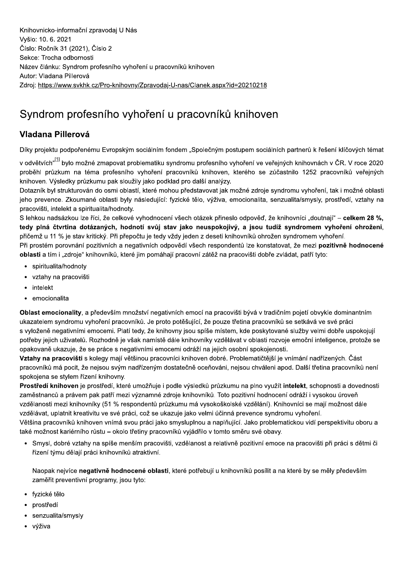Knihovnicko-informační zpravodaj U Nás Vyšlo: 10.6. 2021 Číslo: Ročník 31 (2021), Číslo 2 Sekce: Trocha odbornosti Název článku: Syndrom profesního vyhoření u pracovníků knihoven Autor: Vladana Pillerová Zdroj: https://www.svkhk.cz/Pro-knihovny/Zpravodaj-U-nas/Clanek.aspx?id=20210218

## Syndrom profesního vyhoření u pracovníků knihoven

## Vladana Pillerová

Díky projektu podpořenému Evropským sociálním fondem "Společným postupem sociálních partnerů k řešení klíčových témat

v odvětvích"<sup>[1]</sup> bylo možné zmapovat problematiku syndromu profesního vyhoření ve veřejných knihovnách v ČR. V roce 2020 proběhl průzkum na téma profesního vyhoření pracovníků knihoven, kterého se zúčastnilo 1252 pracovníků veřejných knihoven. Výsledky průzkumu pak sloužily jako podklad pro další analýzy.

Dotazník byl strukturován do osmi oblastí, které mohou představovat jak možné zdroje syndromu vyhoření, tak i možné oblasti jeho prevence. Zkoumané oblasti byly následující: fyzické tělo, výživa, emocionalita, senzualita/smysly, prostředí, vztahy na pracovišti, intelekt a spiritualita/hodnoty.

S lehkou nadsázkou lze říci, že celkové vyhodnocení všech otázek přineslo odpověď, že knihovníci "doutnají" – celkem 28 %, tedy plná čtvrtina dotázaných, hodnotí svůj stav jako neuspokojivý, a jsou tudíž syndromem vyhoření ohroženi, přičemž u 11 % je stav kritický. Při přepočtu je tedy vždy jeden z deseti knihovníků ohrožen syndromem vyhoření.

Při prostém porovnání pozitivních a negativních odpovědí všech respondentů lze konstatovat, že mezi pozitivně hodnocené oblasti a tím i "zdroje" knihovníků, které jim pomáhají pracovní zátěž na pracovišti dobře zvládat, patří tyto:

- · spiritualita/hodnoty
- vztahy na pracovišti
- intelekt
- emocionalita

Oblast emocionality, a především množství negativních emocí na pracovišti bývá v tradičním pojetí obvykle dominantním ukazatelem syndromu vyhoření pracovníků. Je proto potěšující, že pouze třetina pracovníků se setkává ve své práci s vyloženě negativními emocemi. Platí tedy, že knihovny jsou spíše místem, kde poskytované služby velmi dobře uspokojují potřeby jejich uživatelů. Rozhodně je však namístě dále knihovníky vzdělávat v oblasti rozvoje emoční inteligence, protože se opakovaně ukazuje, že se práce s negativními emocemi odráží na jejich osobní spokojenosti.

Vztahy na pracovišti s kolegy mají většinou pracovníci knihoven dobré. Problematičtější je vnímání nadřízených. Část pracovníků má pocit, že nejsou svým nadřízeným dostatečně oceňováni, nejsou chváleni apod. Další třetina pracovníků není spokojena se stylem řízení knihovny.

Prostředí knihoven je prostředí, které umožňuje i podle výsledků průzkumu na plno využít intelekt, schopnosti a dovednosti zaměstnanců a právem pak patří mezi významné zdroje knihovníků. Toto pozitivní hodnocení odráží i vysokou úroveň vzdělanosti mezi knihovníky (51 % respondentů průzkumu má vysokoškolské vzdělání). Knihovníci se mají možnost dále vzdělávat, uplatnit kreativitu ve své práci, což se ukazuje jako velmi účinná prevence syndromu vyhoření.

Většina pracovníků knihoven vnímá svou práci jako smysluplnou a naplňující. Jako problematickou vidí perspektivitu oboru a také možnost kariérního růstu - okolo třetiny pracovníků vyjádřilo v tomto směru své obavy.

· Smysl, dobré vztahy na spíše menším pracovišti, vzdělanost a relativně pozitivní emoce na pracovišti při práci s dětmi či řízení týmu dělají práci knihovníků atraktivní.

Naopak nejvíce negativně hodnocené oblasti, které potřebují u knihovníků posílit a na které by se měly především zaměřit preventivní programy, jsou tyto:

- · fyzické tělo
- prostředí
- senzualita/smysly
- výživa